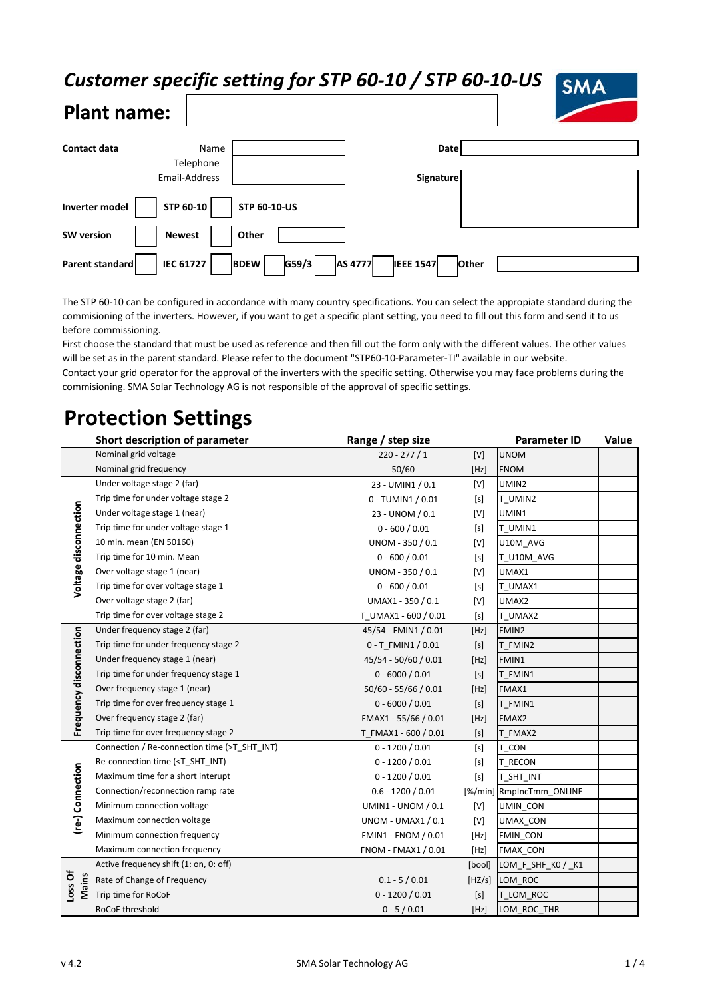### *Customer specific setting for STP 60-10 / STP 60-10-US*



| Contact data          | Name             |                      | <b>Date</b>                 |       |
|-----------------------|------------------|----------------------|-----------------------------|-------|
|                       | Telephone        |                      |                             |       |
|                       | Email-Address    |                      | <b>Signature</b>            |       |
|                       |                  |                      |                             |       |
| <b>Inverter model</b> | STP 60-10        | <b>STP 60-10-US</b>  |                             |       |
| <b>SW</b> version     | <b>Newest</b>    | Other                |                             |       |
| Parent standard       | <b>IEC 61727</b> | G59/3<br><b>BDEW</b> | AS 4777<br><b>IEEE 1547</b> | Other |

The STP 60-10 can be configured in accordance with many country specifications. You can select the appropiate standard during the commisioning of the inverters. However, if you want to get a specific plant setting, you need to fill out this form and send it to us before commissioning.

First choose the standard that must be used as reference and then fill out the form only with the different values. The other values will be set as in the parent standard. Please refer to the document "STP60-10-Parameter-TI" available in our website. Contact your grid operator for the approval of the inverters with the specific setting. Otherwise you may face problems during the commisioning. SMA Solar Technology AG is not responsible of the approval of specific settings.

# **Protection Settings**

|                         | Short description of parameter                                                                                                                                | Range / step size         |                                                                                                                                                                                                                                                                                                                                                                                                                                               | <b>Parameter ID</b>      | Value |
|-------------------------|---------------------------------------------------------------------------------------------------------------------------------------------------------------|---------------------------|-----------------------------------------------------------------------------------------------------------------------------------------------------------------------------------------------------------------------------------------------------------------------------------------------------------------------------------------------------------------------------------------------------------------------------------------------|--------------------------|-------|
|                         | Nominal grid voltage                                                                                                                                          | $220 - 277 / 1$           | $[V]$                                                                                                                                                                                                                                                                                                                                                                                                                                         | <b>UNOM</b>              |       |
|                         | Nominal grid frequency                                                                                                                                        | 50/60                     | [Hz]                                                                                                                                                                                                                                                                                                                                                                                                                                          | <b>FNOM</b>              |       |
| Voltage disconnection   | Under voltage stage 2 (far)                                                                                                                                   | 23 - UMIN1 / 0.1          | [V]                                                                                                                                                                                                                                                                                                                                                                                                                                           | UMIN2                    |       |
|                         | Trip time for under voltage stage 2                                                                                                                           | 0 - TUMIN1 / 0.01         | $[s]$                                                                                                                                                                                                                                                                                                                                                                                                                                         | T UMIN2                  |       |
|                         | Under voltage stage 1 (near)                                                                                                                                  | 23 - UNOM / 0.1           | [V]                                                                                                                                                                                                                                                                                                                                                                                                                                           | UMIN1                    |       |
|                         | Trip time for under voltage stage 1                                                                                                                           | $0 - 600 / 0.01$          | $[s]$                                                                                                                                                                                                                                                                                                                                                                                                                                         | T UMIN1                  |       |
|                         | 10 min. mean (EN 50160)                                                                                                                                       | UNOM - 350 / 0.1          | [V]                                                                                                                                                                                                                                                                                                                                                                                                                                           | U10M_AVG                 |       |
|                         | Trip time for 10 min. Mean                                                                                                                                    | $0 - 600 / 0.01$          | $[s]$                                                                                                                                                                                                                                                                                                                                                                                                                                         | T_U10M_AVG               |       |
|                         | Over voltage stage 1 (near)                                                                                                                                   | UNOM - 350 / 0.1          | $[V] \centering% \includegraphics[width=1.0\textwidth]{Figures/PN1.png} \caption{The 3D (black) model for the $N=1$ and $N=1$ (red) and $N=1$ (red) and $N=1$ (red) and $N=1$ (red) and $N=1$ (red) and $N=1$ (red) and $N=1$ (red) and $N=1$ (red) and $N=1$ (red) and $N=1$ (red) and $N=1$ (red) and $N=1$ (red) and $N=1$ (red) and $N=1$ (red) and $N=1$ (red) and $N=1$ (red) and $N=1$ (red) and $N=1$ (red) and $N=1$ (red) and $N=1$ | UMAX1                    |       |
|                         | Trip time for over voltage stage 1                                                                                                                            | $0 - 600 / 0.01$          | [s]                                                                                                                                                                                                                                                                                                                                                                                                                                           | T_UMAX1                  |       |
|                         | Over voltage stage 2 (far)                                                                                                                                    | UMAX1 - 350 / 0.1         | [V]                                                                                                                                                                                                                                                                                                                                                                                                                                           | UMAX2                    |       |
|                         | Trip time for over voltage stage 2                                                                                                                            | T UMAX1 - 600 / 0.01      | $[s]$                                                                                                                                                                                                                                                                                                                                                                                                                                         | T UMAX2                  |       |
| Frequency disconnection | Under frequency stage 2 (far)                                                                                                                                 | 45/54 - FMIN1 / 0.01      | [Hz]                                                                                                                                                                                                                                                                                                                                                                                                                                          | FMIN2                    |       |
|                         | Trip time for under frequency stage 2                                                                                                                         | 0 - T FMIN1 / 0.01        | $[s]$                                                                                                                                                                                                                                                                                                                                                                                                                                         | T FMIN2                  |       |
|                         | Under frequency stage 1 (near)                                                                                                                                | 45/54 - 50/60 / 0.01      | [Hz]                                                                                                                                                                                                                                                                                                                                                                                                                                          | FMIN1                    |       |
|                         | Trip time for under frequency stage 1                                                                                                                         | $0 - 6000 / 0.01$         | [s]                                                                                                                                                                                                                                                                                                                                                                                                                                           | T FMIN1                  |       |
|                         | Over frequency stage 1 (near)                                                                                                                                 | $50/60 - 55/66 / 0.01$    | [Hz]                                                                                                                                                                                                                                                                                                                                                                                                                                          | FMAX1                    |       |
|                         | Trip time for over frequency stage 1                                                                                                                          | $0 - 6000 / 0.01$         | [s]                                                                                                                                                                                                                                                                                                                                                                                                                                           | FMIN1                    |       |
|                         | Over frequency stage 2 (far)                                                                                                                                  | FMAX1 - 55/66 / 0.01      | [Hz]                                                                                                                                                                                                                                                                                                                                                                                                                                          | FMAX2                    |       |
|                         | Trip time for over frequency stage 2                                                                                                                          | T FMAX1 - 600 / 0.01      | [s]                                                                                                                                                                                                                                                                                                                                                                                                                                           | T FMAX2                  |       |
| (re-) Connection        | Connection / Re-connection time (>T SHT INT)                                                                                                                  | $0 - 1200 / 0.01$         | $[s]$                                                                                                                                                                                                                                                                                                                                                                                                                                         | T CON                    |       |
|                         | Re-connection time ( <t_sht_int)< td=""><td><math>0 - 1200 / 0.01</math></td><td><math display="block">[s]</math></td><td>T_RECON</td><td></td></t_sht_int)<> | $0 - 1200 / 0.01$         | $[s]$                                                                                                                                                                                                                                                                                                                                                                                                                                         | T_RECON                  |       |
|                         | Maximum time for a short interupt                                                                                                                             | $0 - 1200 / 0.01$         | $[s]$                                                                                                                                                                                                                                                                                                                                                                                                                                         | T SHT INT                |       |
|                         | Connection/reconnection ramp rate                                                                                                                             | $0.6 - 1200 / 0.01$       |                                                                                                                                                                                                                                                                                                                                                                                                                                               | [%/min] RmpIncTmm_ONLINE |       |
|                         | Minimum connection voltage                                                                                                                                    | <b>UMIN1 - UNOM / 0.1</b> | $[V] \centering% \includegraphics[width=1.0\textwidth]{Figures/PN1.png} \caption{The 3D (black) model for the $N=1$ and $N=1$ (red) and $N=1$ (red) and $N=1$ (red) and $N=1$ (red) and $N=1$ (red) and $N=1$ (red) and $N=1$ (red) and $N=1$ (red) and $N=1$ (red) and $N=1$ (red) and $N=1$ (red) and $N=1$ (red) and $N=1$ (red) and $N=1$ (red) and $N=1$ (red) and $N=1$ (red) and $N=1$ (red) and $N=1$ (red) and $N=1$ (red) and $N=1$ | UMIN CON                 |       |
|                         | Maximum connection voltage                                                                                                                                    | <b>UNOM - UMAX1 / 0.1</b> | [V]                                                                                                                                                                                                                                                                                                                                                                                                                                           | UMAX_CON                 |       |
|                         | Minimum connection frequency                                                                                                                                  | FMIN1 - FNOM / 0.01       | [Hz]                                                                                                                                                                                                                                                                                                                                                                                                                                          | FMIN_CON                 |       |
|                         | Maximum connection frequency                                                                                                                                  | FNOM - FMAX1 / 0.01       | [Hz]                                                                                                                                                                                                                                                                                                                                                                                                                                          | FMAX_CON                 |       |
| Loss Of<br>Mains        | Active frequency shift (1: on, 0: off)                                                                                                                        |                           | [bool]                                                                                                                                                                                                                                                                                                                                                                                                                                        | LOM_F_SHF_K0 / _K1       |       |
|                         | Rate of Change of Frequency                                                                                                                                   | $0.1 - 5 / 0.01$          | [HZ/s]                                                                                                                                                                                                                                                                                                                                                                                                                                        | LOM ROC                  |       |
|                         | Trip time for RoCoF                                                                                                                                           | $0 - 1200 / 0.01$         | $[s]$                                                                                                                                                                                                                                                                                                                                                                                                                                         | T_LOM_ROC                |       |
|                         | RoCoF threshold                                                                                                                                               | $0 - 5 / 0.01$            | [Hz]                                                                                                                                                                                                                                                                                                                                                                                                                                          | LOM ROC THR              |       |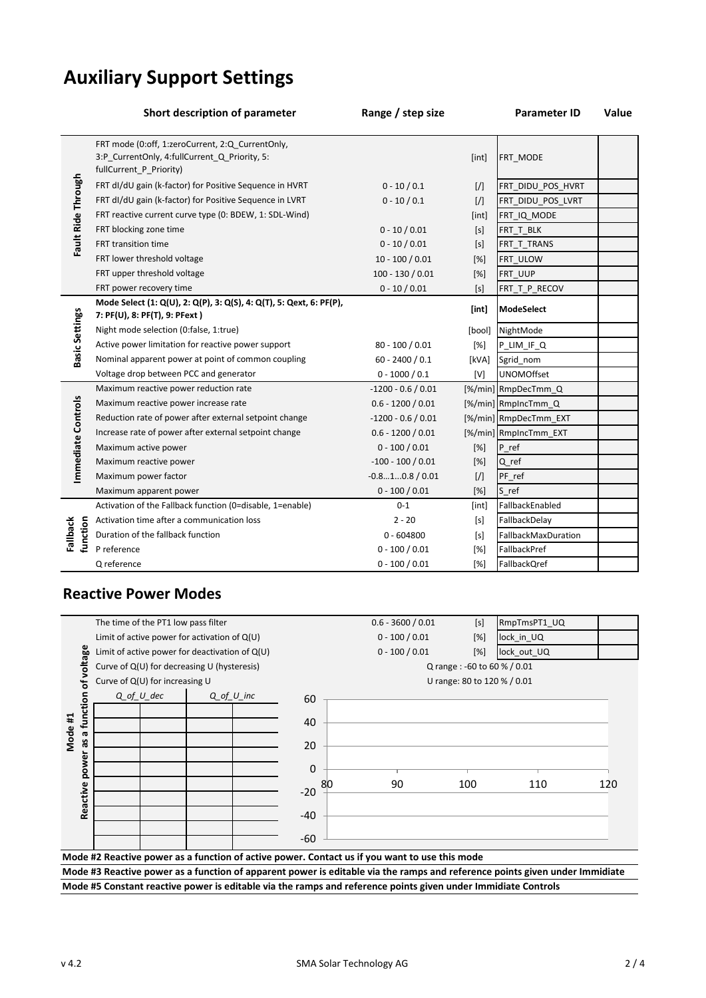## **Auxiliary Support Settings**

|                       | Short description of parameter                                                                                               | Range / step size    |               | <b>Parameter ID</b>   | <b>Value</b> |
|-----------------------|------------------------------------------------------------------------------------------------------------------------------|----------------------|---------------|-----------------------|--------------|
| Fault Ride Through    | FRT mode (0:off, 1:zeroCurrent, 2:Q CurrentOnly,<br>3:P_CurrentOnly, 4:fullCurrent_Q_Priority, 5:<br>fullCurrent_P_Priority) |                      | [int]         | FRT_MODE              |              |
|                       | FRT dI/dU gain (k-factor) for Positive Sequence in HVRT                                                                      | $0 - 10 / 0.1$       | $\frac{1}{2}$ | FRT DIDU POS HVRT     |              |
|                       | FRT dI/dU gain (k-factor) for Positive Sequence in LVRT                                                                      | $0 - 10 / 0.1$       | $\frac{1}{2}$ | FRT DIDU POS LVRT     |              |
|                       | FRT reactive current curve type (0: BDEW, 1: SDL-Wind)                                                                       |                      | [int]         | FRT_IQ_MODE           |              |
|                       | FRT blocking zone time                                                                                                       | $0 - 10 / 0.01$      | [s]           | FRT_T_BLK             |              |
|                       | FRT transition time                                                                                                          | $0 - 10 / 0.01$      | [s]           | FRT T TRANS           |              |
|                       | FRT lower threshold voltage                                                                                                  | $10 - 100 / 0.01$    | [%]           | FRT_ULOW              |              |
|                       | FRT upper threshold voltage                                                                                                  | $100 - 130 / 0.01$   | [%]           | FRT_UUP               |              |
|                       | FRT power recovery time                                                                                                      | $0 - 10 / 0.01$      | [s]           | FRT_T_P_RECOV         |              |
| <b>Basic Settings</b> | Mode Select (1: Q(U), 2: Q(P), 3: Q(S), 4: Q(T), 5: Qext, 6: PF(P),<br>7: PF(U), 8: PF(T), 9: PFext)                         |                      | [int]         | <b>ModeSelect</b>     |              |
|                       | Night mode selection (0:false, 1:true)                                                                                       |                      | [bool]        | NightMode             |              |
|                       | Active power limitation for reactive power support                                                                           | $80 - 100 / 0.01$    | [%]           | P_LIM_IF_Q            |              |
|                       | Nominal apparent power at point of common coupling                                                                           | $60 - 2400 / 0.1$    | [kVA]         | Sgrid nom             |              |
|                       | Voltage drop between PCC and generator                                                                                       | $0 - 1000 / 0.1$     | [V]           | <b>UNOMOffset</b>     |              |
|                       | Maximum reactive power reduction rate                                                                                        | $-1200 - 0.6 / 0.01$ |               | [%/min] RmpDecTmm_Q   |              |
|                       | Maximum reactive power increase rate                                                                                         | $0.6 - 1200 / 0.01$  |               | [%/min] RmpIncTmm Q   |              |
|                       | Reduction rate of power after external setpoint change                                                                       | $-1200 - 0.6 / 0.01$ |               | [%/min] RmpDecTmm EXT |              |
| Immediate Controls    | Increase rate of power after external setpoint change                                                                        | $0.6 - 1200 / 0.01$  |               | [%/min] RmpIncTmm_EXT |              |
|                       | Maximum active power                                                                                                         | $0 - 100 / 0.01$     | [%]           | P ref                 |              |
|                       | Maximum reactive power                                                                                                       | $-100 - 100 / 0.01$  | [%]           | Q_ref                 |              |
|                       | Maximum power factor                                                                                                         | $-0.810.8/0.01$      | [             | PF_ref                |              |
|                       | Maximum apparent power                                                                                                       | $0 - 100 / 0.01$     | [%]           | S_ref                 |              |
| function<br>Fallback  | Activation of the Fallback function (0=disable, 1=enable)                                                                    | $0 - 1$              | [int]         | FallbackEnabled       |              |
|                       | Activation time after a communication loss                                                                                   | $2 - 20$             | [s]           | FallbackDelay         |              |
|                       | Duration of the fallback function                                                                                            | $0 - 604800$         | [s]           | FallbackMaxDuration   |              |
|                       | P reference                                                                                                                  | $0 - 100 / 0.01$     | [%]           | FallbackPref          |              |
|                       | Q reference                                                                                                                  | $0 - 100 / 0.01$     | [%]           | FallbackQref          |              |

#### **Reactive Power Modes**



**Mode #3 Reactive power as a function of apparent power is editable via the ramps and reference points given under Immidiate Mode #5 Constant reactive power is editable via the ramps and reference points given under Immidiate Controls**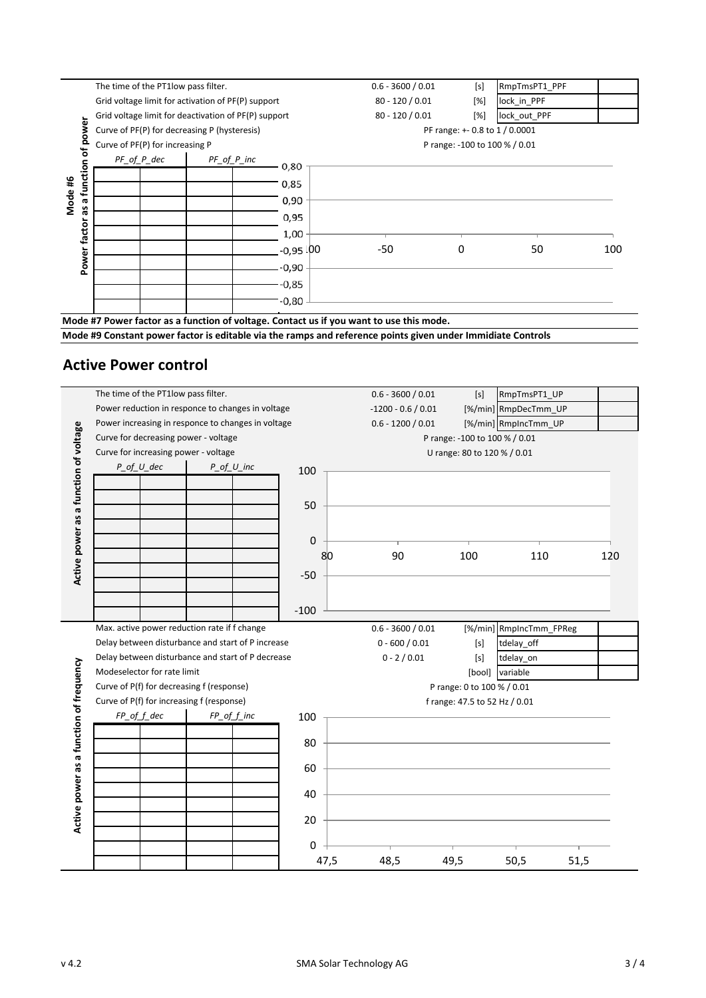

**Mode #9 Constant power factor is editable via the ramps and reference points given under Immidiate Controls**

### **Active Power control**